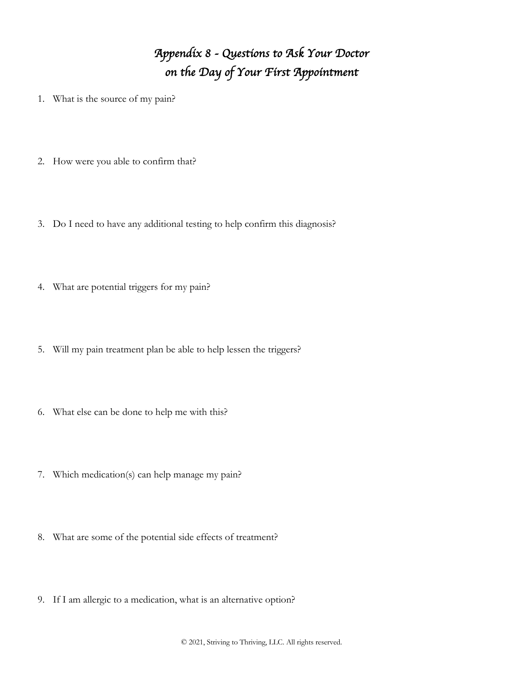## *Appendix 8 - Questions to Ask Your Doctor on the Day of Your First Appointment*

- 1. What is the source of my pain?
- 2. How were you able to confirm that?
- 3. Do I need to have any additional testing to help confirm this diagnosis?
- 4. What are potential triggers for my pain?
- 5. Will my pain treatment plan be able to help lessen the triggers?
- 6. What else can be done to help me with this?
- 7. Which medication(s) can help manage my pain?
- 8. What are some of the potential side effects of treatment?
- 9. If I am allergic to a medication, what is an alternative option?